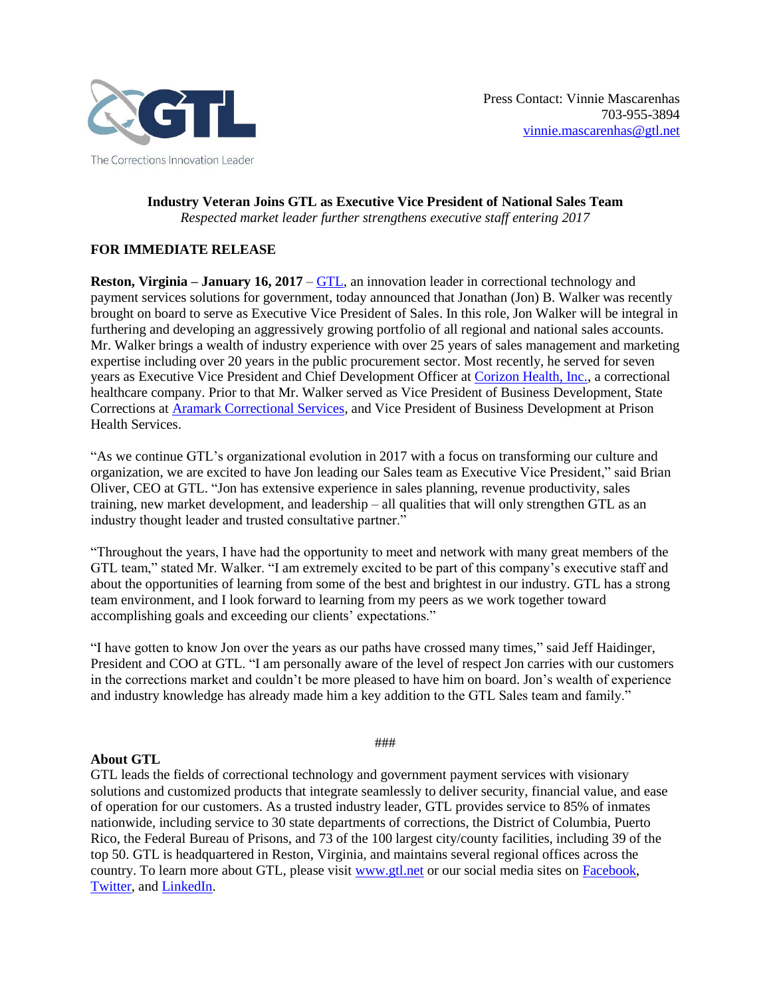

**Industry Veteran Joins GTL as Executive Vice President of National Sales Team** *Respected market leader further strengthens executive staff entering 2017*

## **FOR IMMEDIATE RELEASE**

**Reston, Virginia – January 16, 2017** – [GTL,](http://www.gtl.net/) an innovation leader in correctional technology and payment services solutions for government, today announced that Jonathan (Jon) B. Walker was recently brought on board to serve as Executive Vice President of Sales. In this role, Jon Walker will be integral in furthering and developing an aggressively growing portfolio of all regional and national sales accounts. Mr. Walker brings a wealth of industry experience with over 25 years of sales management and marketing expertise including over 20 years in the public procurement sector. Most recently, he served for seven years as Executive Vice President and Chief Development Officer at [Corizon Health, Inc.,](http://www.corizonhealth.com/) a correctional healthcare company. Prior to that Mr. Walker served as Vice President of Business Development, State Corrections at [Aramark Correctional Services,](http://www.aramark.com/industries/business-government/correctional-facilities) and Vice President of Business Development at Prison Health Services.

"As we continue GTL's organizational evolution in 2017 with a focus on transforming our culture and organization, we are excited to have Jon leading our Sales team as Executive Vice President," said Brian Oliver, CEO at GTL. "Jon has extensive experience in sales planning, revenue productivity, sales training, new market development, and leadership – all qualities that will only strengthen GTL as an industry thought leader and trusted consultative partner."

"Throughout the years, I have had the opportunity to meet and network with many great members of the GTL team," stated Mr. Walker. "I am extremely excited to be part of this company's executive staff and about the opportunities of learning from some of the best and brightest in our industry. GTL has a strong team environment, and I look forward to learning from my peers as we work together toward accomplishing goals and exceeding our clients' expectations."

"I have gotten to know Jon over the years as our paths have crossed many times," said Jeff Haidinger, President and COO at GTL. "I am personally aware of the level of respect Jon carries with our customers in the corrections market and couldn't be more pleased to have him on board. Jon's wealth of experience and industry knowledge has already made him a key addition to the GTL Sales team and family."

## **About GTL**

GTL leads the fields of correctional technology and government payment services with visionary solutions and customized products that integrate seamlessly to deliver security, financial value, and ease of operation for our customers. As a trusted industry leader, GTL provides service to 85% of inmates nationwide, including service to 30 state departments of corrections, the District of Columbia, Puerto Rico, the Federal Bureau of Prisons, and 73 of the 100 largest city/county facilities, including 39 of the top 50. GTL is headquartered in Reston, Virginia, and maintains several regional offices across the country. To learn more about GTL, please visit [www.gtl.net](http://www.gtl.net/) or our social media sites on [Facebook,](https://www.facebook.com/GTLGlobalTelLink/) [Twitter,](https://twitter.com/GlobalTelLink) and [LinkedIn.](https://www.linkedin.com/company/global-tel-link)

## ###